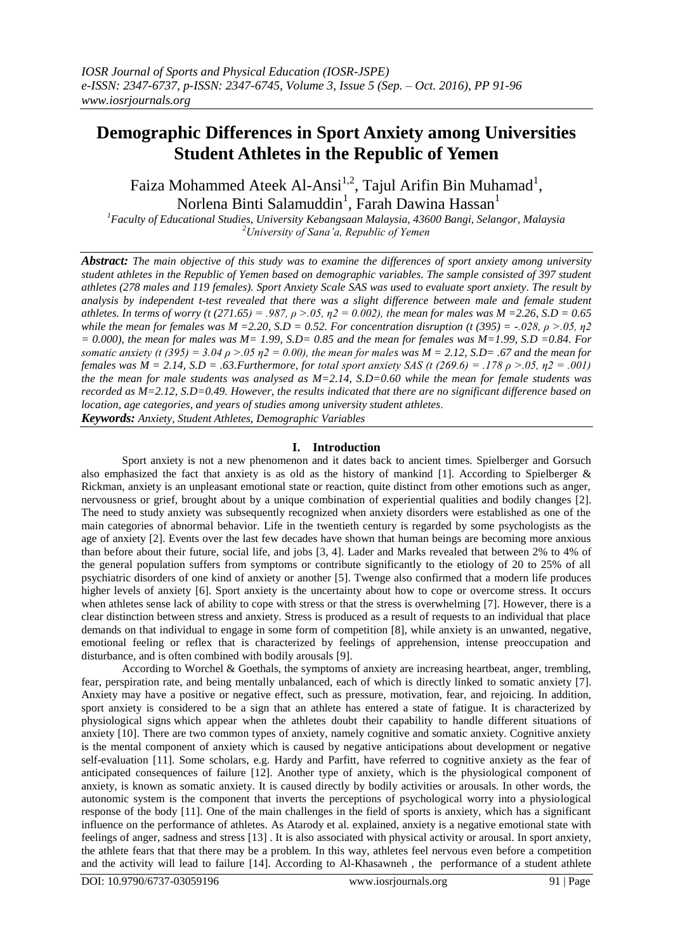# **Demographic Differences in Sport Anxiety among Universities Student Athletes in the Republic of Yemen**

Faiza Mohammed Ateek Al-Ansi<sup>1,2</sup>, Tajul Arifin Bin Muhamad<sup>1</sup>, Norlena Binti Salamuddin<sup>1</sup>, Farah Dawina Hassan<sup>1</sup>

*<sup>1</sup>Faculty of Educational Studies, University Kebangsaan Malaysia, 43600 Bangi, Selangor, Malaysia <sup>2</sup>University of Sana'a, Republic of Yemen*

*Abstract: The main objective of this study was to examine the differences of sport anxiety among university student athletes in the Republic of Yemen based on demographic variables. The sample consisted of 397 student athletes (278 males and 119 females). Sport Anxiety Scale SAS was used to evaluate sport anxiety. The result by analysis by independent t-test revealed that there was a slight difference between male and female student athletes. In terms of worry (t (271.65) = .987, ρ >.05, η2 = 0.002), the mean for males was M =2.26, S.D = 0.65 while the mean for females was M = 2.20, S.D = 0.52. For concentration disruption (t (395) = -.028,*  $\rho > .05$ *,*  $\eta$ *2 = 0.000), the mean for males was M= 1.99, S.D= 0.85 and the mean for females was M=1.99, S.D =0.84. For somatic anxiety (t (395)* = 3.04  $\rho$  >.05  $\eta$ 2 = 0.00), the mean for males was M = 2.12, S.D= .67 and the mean for *females was M = 2.14, S.D = .63.Furthermore, for total sport anxiety SAS (t (269.6) = .178 ρ >.05, η2 = .001) the the mean for male students was analysed as M=2.14, S.D=0.60 while the mean for female students was recorded as M=2.12, S.D=0.49. However, the results indicated that there are no significant difference based on location, age categories, and years of studies among university student athletes*. *Keywords: Anxiety, Student Athletes, Demographic Variables*

# **I. Introduction**

Sport anxiety is not a new phenomenon and it dates back to ancient times. Spielberger and Gorsuch also emphasized the fact that anxiety is as old as the history of mankind [1]. According to Spielberger & Rickman, anxiety is an unpleasant emotional state or reaction, quite distinct from other emotions such as anger, nervousness or grief, brought about by a unique combination of experiential qualities and bodily changes [2]. The need to study anxiety was subsequently recognized when anxiety disorders were established as one of the main categories of abnormal behavior. Life in the twentieth century is regarded by some psychologists as the age of anxiety [2]. Events over the last few decades have shown that human beings are becoming more anxious than before about their future, social life, and jobs [3, 4]. Lader and Marks revealed that between 2% to 4% of the general population suffers from symptoms or contribute significantly to the etiology of 20 to 25% of all psychiatric disorders of one kind of anxiety or another [5]. Twenge also confirmed that a modern life produces higher levels of anxiety [6]. Sport anxiety is the uncertainty about how to cope or overcome stress. It occurs when athletes sense lack of ability to cope with stress or that the stress is overwhelming [7]. However, there is a clear distinction between stress and anxiety. Stress is produced as a result of requests to an individual that place demands on that individual to engage in some form of competition [8], while anxiety is an unwanted, negative, emotional feeling or reflex that is characterized by feelings of apprehension, intense preoccupation and disturbance, and is often combined with bodily arousals [9].

According to Worchel & Goethals, the symptoms of anxiety are increasing heartbeat, anger, trembling, fear, perspiration rate, and being mentally unbalanced, each of which is directly linked to somatic anxiety [7]. Anxiety may have a positive or negative effect, such as pressure, motivation, fear, and rejoicing. In addition, sport anxiety is considered to be a sign that an athlete has entered a state of fatigue. It is characterized by physiological signs which appear when the athletes doubt their capability to handle different situations of anxiety [10]. There are two common types of anxiety, namely cognitive and somatic anxiety. Cognitive anxiety is the mental component of anxiety which is caused by negative anticipations about development or negative self-evaluation [11]. Some scholars, e.g. Hardy and Parfitt, have referred to cognitive anxiety as the fear of anticipated consequences of failure [12]. Another type of anxiety, which is the physiological component of anxiety, is known as somatic anxiety. It is caused directly by bodily activities or arousals. In other words, the autonomic system is the component that inverts the perceptions of psychological worry into a physiological response of the body [11]. One of the main challenges in the field of sports is anxiety, which has a significant influence on the performance of athletes. As Atarody et al. explained, anxiety is a negative emotional state with feelings of anger, sadness and stress [13] . It is also associated with physical activity or arousal. In sport anxiety, the athlete fears that that there may be a problem. In this way, athletes feel nervous even before a competition and the activity will lead to failure [14]. According to Al-Khasawneh , the performance of a student athlete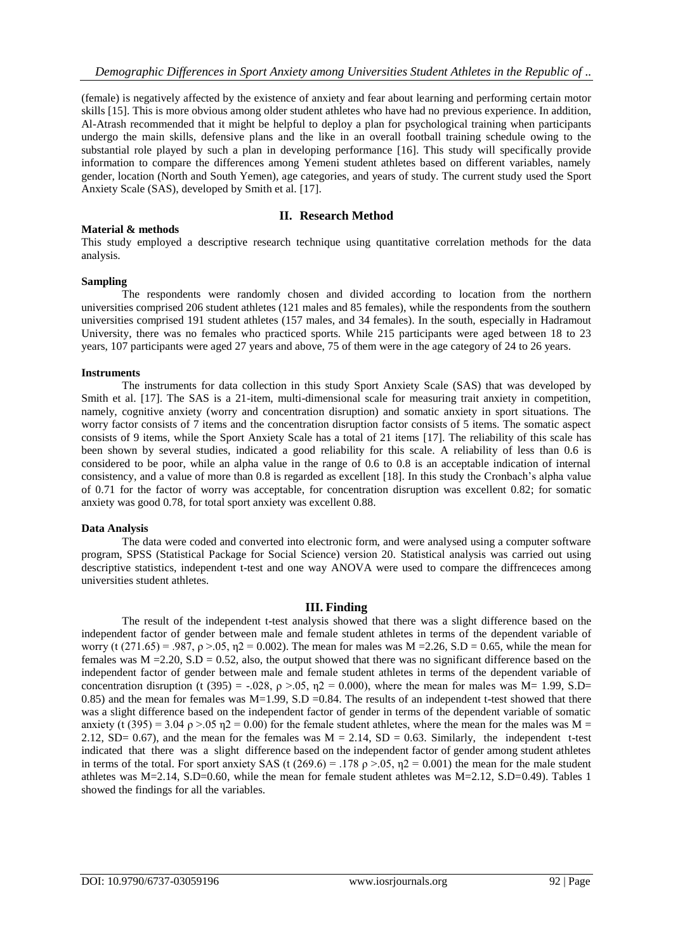(female) is negatively affected by the existence of anxiety and fear about learning and performing certain motor skills [15]. This is more obvious among older student athletes who have had no previous experience. In addition, Al-Atrash recommended that it might be helpful to deploy a plan for psychological training when participants undergo the main skills, defensive plans and the like in an overall football training schedule owing to the substantial role played by such a plan in developing performance [16]. This study will specifically provide information to compare the differences among Yemeni student athletes based on different variables, namely gender, location (North and South Yemen), age categories, and years of study. The current study used the Sport Anxiety Scale (SAS), developed by Smith et al. [17].

# **II. Research Method**

This study employed a descriptive research technique using quantitative correlation methods for the data analysis.

## **Sampling**

**Material & methods** 

The respondents were randomly chosen and divided according to location from the northern universities comprised 206 student athletes (121 males and 85 females), while the respondents from the southern universities comprised 191 student athletes (157 males, and 34 females). In the south, especially in Hadramout University, there was no females who practiced sports. While 215 participants were aged between 18 to 23 years, 107 participants were aged 27 years and above, 75 of them were in the age category of 24 to 26 years.

## **Instruments**

The instruments for data collection in this study Sport Anxiety Scale (SAS) that was developed by Smith et al. [17]. The SAS is a 21-item, multi-dimensional scale for measuring trait anxiety in competition, namely, cognitive anxiety (worry and concentration disruption) and somatic anxiety in sport situations. The worry factor consists of 7 items and the concentration disruption factor consists of 5 items. The somatic aspect consists of 9 items, while the Sport Anxiety Scale has a total of 21 items [17]. The reliability of this scale has been shown by several studies, indicated a good reliability for this scale. A reliability of less than 0.6 is considered to be poor, while an alpha value in the range of 0.6 to 0.8 is an acceptable indication of internal consistency, and a value of more than 0.8 is regarded as excellent [18]. In this study the Cronbach's alpha value of 0.71 for the factor of worry was acceptable, for concentration disruption was excellent 0.82; for somatic anxiety was good 0.78, for total sport anxiety was excellent 0.88.

### **Data Analysis**

The data were coded and converted into electronic form, and were analysed using a computer software program, SPSS (Statistical Package for Social Science) version 20. Statistical analysis was carried out using descriptive statistics, independent t-test and one way ANOVA were used to compare the diffrenceces among universities student athletes.

## **III. Finding**

The result of the independent t-test analysis showed that there was a slight difference based on the independent factor of gender between male and female student athletes in terms of the dependent variable of worry (t (271.65) = .987,  $\rho > 0.05$ ,  $\eta$ 2 = 0.002). The mean for males was M = 2.26, S.D = 0.65, while the mean for females was  $M = 2.20$ ,  $S.D = 0.52$ , also, the output showed that there was no significant difference based on the independent factor of gender between male and female student athletes in terms of the dependent variable of concentration disruption (t (395) = -.028,  $\rho > .05$ ,  $\eta$ 2 = 0.000), where the mean for males was M= 1.99, S.D= 0.85) and the mean for females was  $M=1.99$ , S.D = 0.84. The results of an independent t-test showed that there was a slight difference based on the independent factor of gender in terms of the dependent variable of somatic anxiety (t (395) = 3.04  $\rho$  >.05  $\eta$ 2 = 0.00) for the female student athletes, where the mean for the males was M = 2.12, SD= 0.67), and the mean for the females was  $M = 2.14$ , SD = 0.63. Similarly, the independent t-test indicated that there was a slight difference based on the independent factor of gender among student athletes in terms of the total. For sport anxiety SAS (t (269.6) = .178  $\rho > .05$ ,  $\eta$ 2 = 0.001) the mean for the male student athletes was M=2.14, S.D=0.60, while the mean for female student athletes was M=2.12, S.D=0.49). Tables 1 showed the findings for all the variables.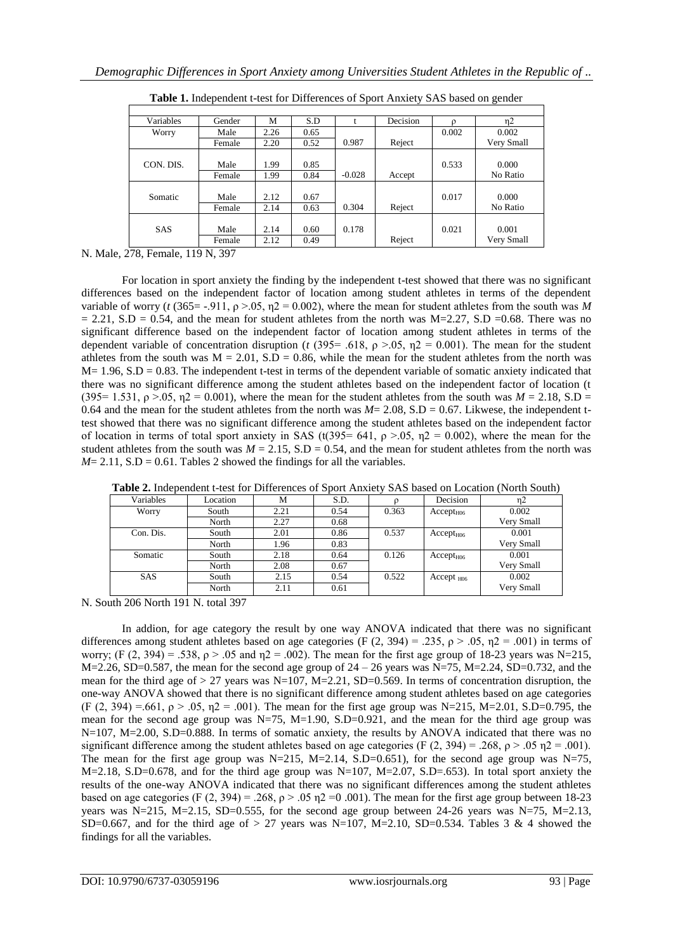| Variables  | Gender         | M            | S.D          |          | Decision | O     | $\eta$ 2            |
|------------|----------------|--------------|--------------|----------|----------|-------|---------------------|
| Worry      | Male           | 2.26         | 0.65         |          |          | 0.002 | 0.002               |
|            | Female         | 2.20         | 0.52         | 0.987    | Reject   |       | Very Small          |
| CON. DIS.  | Male<br>Female | 1.99<br>1.99 | 0.85<br>0.84 | $-0.028$ | Accept   | 0.533 | 0.000<br>No Ratio   |
| Somatic    | Male<br>Female | 2.12<br>2.14 | 0.67<br>0.63 | 0.304    | Reject   | 0.017 | 0.000<br>No Ratio   |
| <b>SAS</b> | Male<br>Female | 2.14<br>2.12 | 0.60<br>0.49 | 0.178    | Reject   | 0.021 | 0.001<br>Very Small |

**Table 1.** Independent t-test for Differences of Sport Anxiety SAS based on gender

N. Male, 278, Female, 119 N, 397

For location in sport anxiety the finding by the independent t-test showed that there was no significant differences based on the independent factor of location among student athletes in terms of the dependent variable of worry ( $t$  (365 = -.911,  $\rho$  >.05,  $\eta$ 2 = 0.002), where the mean for student athletes from the south was M  $= 2.21$ , S.D  $= 0.54$ , and the mean for student athletes from the north was M=2.27, S.D =0.68. There was no significant difference based on the independent factor of location among student athletes in terms of the dependent variable of concentration disruption (*t* (395= .618,  $\rho > .05$ ,  $\eta$ 2 = 0.001). The mean for the student athletes from the south was  $M = 2.01$ ,  $S.D = 0.86$ , while the mean for the student athletes from the north was  $M = 1.96$ , S.D = 0.83. The independent t-test in terms of the dependent variable of somatic anxiety indicated that there was no significant difference among the student athletes based on the independent factor of location (t (395= 1.531,  $\rho > 0.05$ ,  $\eta$ 2 = 0.001), where the mean for the student athletes from the south was  $M = 2.18$ , S.D = 0.64 and the mean for the student athletes from the north was  $M = 2.08$ , S.D = 0.67. Likwese, the independent ttest showed that there was no significant difference among the student athletes based on the independent factor of location in terms of total sport anxiety in SAS (t(395= 641,  $\rho > .05$ ,  $\eta$ 2 = 0.002), where the mean for the student athletes from the south was  $M = 2.15$ ,  $S.D = 0.54$ , and the mean for student athletes from the north was  $M= 2.11$ , S.D = 0.61. Tables 2 showed the findings for all the variables.

| Variables  | Location | М    | S.D. |       | Decision              | n2         |
|------------|----------|------|------|-------|-----------------------|------------|
| Worry      | South    | 2.21 | 0.54 | 0.363 | Accept <sub>H06</sub> | 0.002      |
|            | North    | 2.27 | 0.68 |       |                       | Very Small |
| Con. Dis.  | South    | 2.01 | 0.86 | 0.537 | Accept <sub>H06</sub> | 0.001      |
|            | North    | 1.96 | 0.83 |       |                       | Very Small |
| Somatic    | South    | 2.18 | 0.64 | 0.126 | Accept <sub>H06</sub> | 0.001      |
|            | North    | 2.08 | 0.67 |       |                       | Very Small |
| <b>SAS</b> | South    | 2.15 | 0.54 | 0.522 | $Accept_{H06}$        | 0.002      |
|            | North    | 2.11 | 0.61 |       |                       | Very Small |

**Table 2.** Independent t-test for Differences of Sport Anxiety SAS based on Location (North South)

N. South 206 North 191 N. total 397

In addion, for age category the result by one way ANOVA indicated that there was no significant differences among student athletes based on age categories (F (2, 394) = .235,  $\rho$  > .05,  $\eta$ 2 = .001) in terms of worry; (F (2, 394) = .538, ρ > .05 and η2 = .002). The mean for the first age group of 18-23 years was N=215, M=2.26, SD=0.587, the mean for the second age group of  $24 - 26$  years was N=75, M=2.24, SD=0.732, and the mean for the third age of  $> 27$  years was N=107, M=2.21, SD=0.569. In terms of concentration disruption, the one-way ANOVA showed that there is no significant difference among student athletes based on age categories (F (2, 394) =.661,  $\rho > .05$ ,  $\eta$ 2 = .001). The mean for the first age group was N=215, M=2.01, S.D=0.795, the mean for the second age group was  $N=75$ ,  $M=1.90$ ,  $S.D=0.921$ , and the mean for the third age group was N=107, M=2.00, S.D=0.888. In terms of somatic anxiety, the results by ANOVA indicated that there was no significant difference among the student athletes based on age categories (F (2, 394) = .268,  $\rho > .05$   $\eta$ 2 = .001). The mean for the first age group was N=215, M=2.14, S.D=0.651), for the second age group was N=75, M=2.18, S.D=0.678, and for the third age group was N=107, M=2.07, S.D=.653). In total sport anxiety the results of the one-way ANOVA indicated that there was no significant differences among the student athletes based on age categories (F (2, 394) = .268,  $\rho$  > .05  $\eta$ 2 = 0.001). The mean for the first age group between 18-23 years was N=215, M=2.15, SD=0.555, for the second age group between 24-26 years was N=75, M=2.13, SD=0.667, and for the third age of  $> 27$  years was N=107, M=2.10, SD=0.534. Tables 3 & 4 showed the findings for all the variables.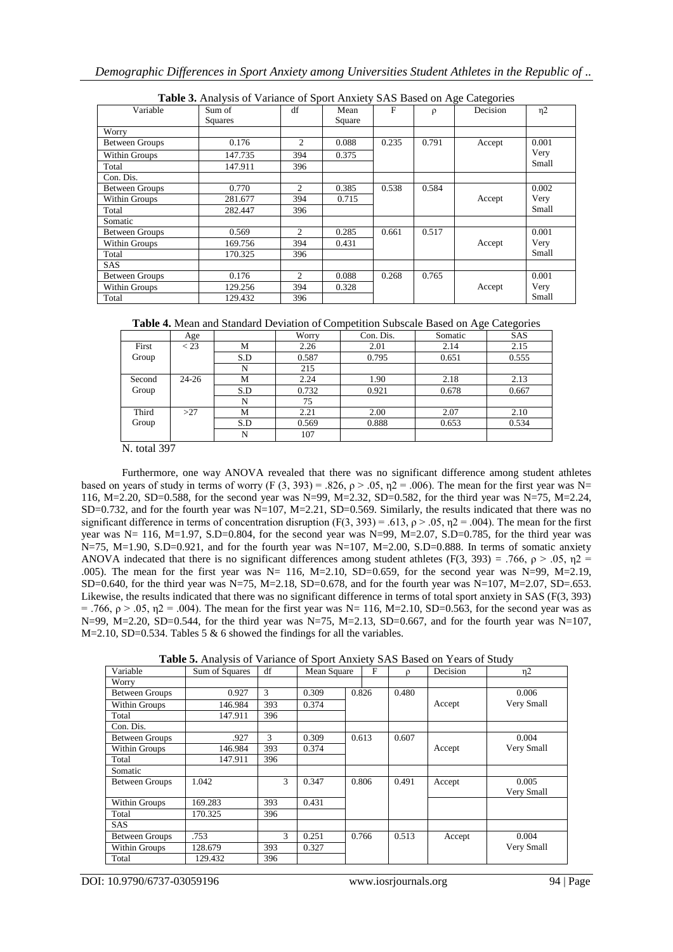| Variable              | <b>Table 5:</b> Thin you of y arrange of sport Thingly 5/10 Dased on Fige Categories<br>Sum of | df             | Mean   | F     | $\rho$ | Decision | $\eta$ 2 |
|-----------------------|------------------------------------------------------------------------------------------------|----------------|--------|-------|--------|----------|----------|
|                       | <b>Squares</b>                                                                                 |                | Square |       |        |          |          |
| Worry                 |                                                                                                |                |        |       |        |          |          |
| <b>Between Groups</b> | 0.176                                                                                          | 2              | 0.088  | 0.235 | 0.791  | Accept   | 0.001    |
| Within Groups         | 147.735                                                                                        | 394            | 0.375  |       |        |          | Very     |
| Total                 | 147.911                                                                                        | 396            |        |       |        |          | Small    |
| Con. Dis.             |                                                                                                |                |        |       |        |          |          |
| Between Groups        | 0.770                                                                                          | 2              | 0.385  | 0.538 | 0.584  |          | 0.002    |
| Within Groups         | 281.677                                                                                        | 394            | 0.715  |       |        | Accept   | Very     |
| Total                 | 282.447                                                                                        | 396            |        |       |        |          | Small    |
| Somatic               |                                                                                                |                |        |       |        |          |          |
| <b>Between Groups</b> | 0.569                                                                                          | $\overline{2}$ | 0.285  | 0.661 | 0.517  |          | 0.001    |
| Within Groups         | 169.756                                                                                        | 394            | 0.431  |       |        | Accept   | Very     |
| Total                 | 170.325                                                                                        | 396            |        |       |        |          | Small    |
| <b>SAS</b>            |                                                                                                |                |        |       |        |          |          |
| Between Groups        | 0.176                                                                                          | $\overline{2}$ | 0.088  | 0.268 | 0.765  |          | 0.001    |
| Within Groups         | 129.256                                                                                        | 394            | 0.328  |       |        | Accept   | Very     |
| Total                 | 129.432                                                                                        | 396            |        |       |        |          | Small    |

| Table 4. Mean and Standard Deviation of Competition Subscale Based on Age Categories |  |  |
|--------------------------------------------------------------------------------------|--|--|
|--------------------------------------------------------------------------------------|--|--|

|        | Age       |     | Worry | Con. Dis. | Somatic | $\sim$<br>SAS |
|--------|-----------|-----|-------|-----------|---------|---------------|
| First  | $<$ 23    | M   | 2.26  | 2.01      | 2.14    | 2.15          |
| Group  |           | S.D | 0.587 | 0.795     | 0.651   | 0.555         |
|        |           | N   | 215   |           |         |               |
| Second | $24 - 26$ | M   | 2.24  | 1.90      | 2.18    | 2.13          |
| Group  |           | S.D | 0.732 | 0.921     | 0.678   | 0.667         |
|        |           | N   | 75    |           |         |               |
| Third  | >27       | M   | 2.21  | 2.00      | 2.07    | 2.10          |
| Group  |           | S.D | 0.569 | 0.888     | 0.653   | 0.534         |
|        |           | N   | 107   |           |         |               |

N. total 397

Furthermore, one way ANOVA revealed that there was no significant difference among student athletes based on years of study in terms of worry (F (3, 393) = .826,  $\rho > .05$ ,  $\eta$ 2 = .006). The mean for the first year was N= 116, M=2.20, SD=0.588, for the second year was N=99, M=2.32, SD=0.582, for the third year was N=75, M=2.24, SD=0.732, and for the fourth year was  $N=107$ ,  $M=2.21$ , SD=0.569. Similarly, the results indicated that there was no significant difference in terms of concentration disruption (F(3, 393) = .613,  $\rho$  > .05,  $\eta$ 2 = .004). The mean for the first year was N= 116, M=1.97, S.D=0.804, for the second year was N=99, M=2.07, S.D=0.785, for the third year was N=75, M=1.90, S.D=0.921, and for the fourth year was N=107, M=2.00, S.D=0.888. In terms of somatic anxiety ANOVA indecated that there is no significant differences among student athletes (F(3, 393) = .766,  $\rho > .05$ ,  $\eta$ 2 = .005). The mean for the first year was  $N= 116$ ,  $M=2.10$ ,  $SD=0.659$ , for the second year was  $N=99$ ,  $M=2.19$ , SD=0.640, for the third year was N=75, M=2.18, SD=0.678, and for the fourth year was N=107, M=2.07, SD=.653. Likewise, the results indicated that there was no significant difference in terms of total sport anxiety in SAS (F(3, 393)  $=$  .766, ρ > .05, η2 = .004). The mean for the first year was N= 116, M=2.10, SD=0.563, for the second year was as N=99, M=2.20, SD=0.544, for the third year was N=75, M=2.13, SD=0.667, and for the fourth year was N=107, M=2.10, SD=0.534. Tables 5 & 6 showed the findings for all the variables.

**Table 5.** Analysis of Variance of Sport Anxiety SAS Based on Years of Study

| Variable              | Sum of Squares | df  | Mean Square |       | F | $\Omega$ | Decision | $\eta$ 2   |
|-----------------------|----------------|-----|-------------|-------|---|----------|----------|------------|
| Worry                 |                |     |             |       |   |          |          |            |
| <b>Between Groups</b> | 0.927          | 3   | 0.309       | 0.826 |   | 0.480    |          | 0.006      |
| Within Groups         | 146.984        | 393 | 0.374       |       |   |          | Accept   | Very Small |
| Total                 | 147.911        | 396 |             |       |   |          |          |            |
| Con. Dis.             |                |     |             |       |   |          |          |            |
| <b>Between Groups</b> | .927           | 3   | 0.309       | 0.613 |   | 0.607    |          | 0.004      |
| Within Groups         | 146.984        | 393 | 0.374       |       |   |          | Accept   | Very Small |
| Total                 | 147.911        | 396 |             |       |   |          |          |            |
| Somatic               |                |     |             |       |   |          |          |            |
| <b>Between Groups</b> | 1.042          | 3   | 0.347       | 0.806 |   | 0.491    | Accept   | 0.005      |
|                       |                |     |             |       |   |          |          | Very Small |
| Within Groups         | 169.283        | 393 | 0.431       |       |   |          |          |            |
| Total                 | 170.325        | 396 |             |       |   |          |          |            |
| SAS                   |                |     |             |       |   |          |          |            |
| <b>Between Groups</b> | .753           | 3   | 0.251       | 0.766 |   | 0.513    | Accept   | 0.004      |
| Within Groups         | 128.679        | 393 | 0.327       |       |   |          |          | Very Small |
| Total                 | 129.432        | 396 |             |       |   |          |          |            |

DOI: 10.9790/6737-03059196 www.iosrjournals.org 94 | Page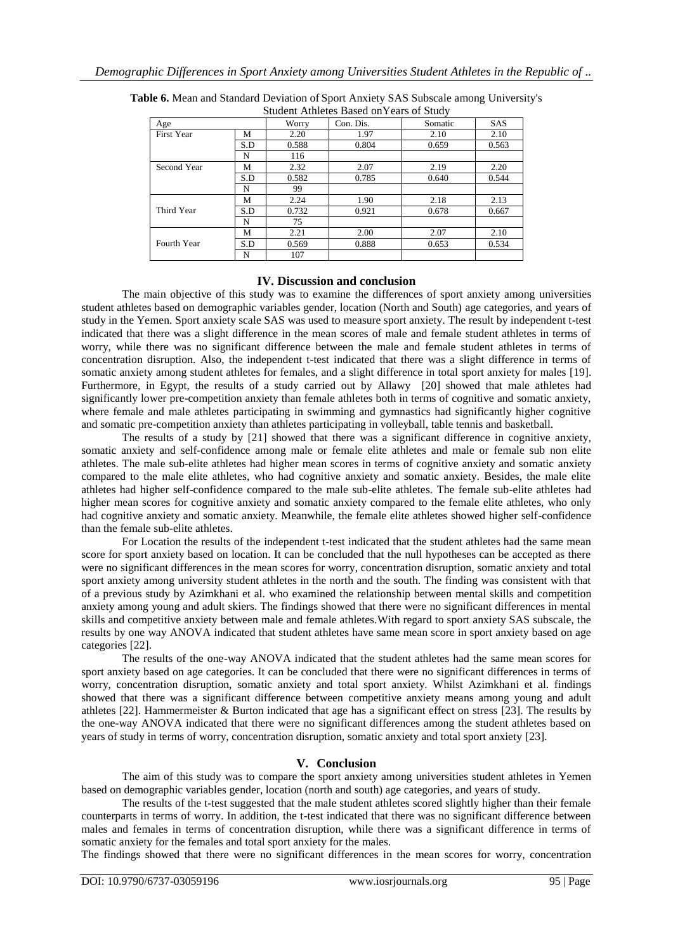| Student Atmetes Based on Fears of Study |     |       |           |         |            |  |  |  |  |  |
|-----------------------------------------|-----|-------|-----------|---------|------------|--|--|--|--|--|
| Age                                     |     | Worry | Con. Dis. | Somatic | <b>SAS</b> |  |  |  |  |  |
| <b>First Year</b>                       | М   | 2.20  | 1.97      | 2.10    | 2.10       |  |  |  |  |  |
|                                         | S.D | 0.588 | 0.804     | 0.659   | 0.563      |  |  |  |  |  |
|                                         | N   | 116   |           |         |            |  |  |  |  |  |
| Second Year                             | М   | 2.32  | 2.07      | 2.19    | 2.20       |  |  |  |  |  |
|                                         | S.D | 0.582 | 0.785     | 0.640   | 0.544      |  |  |  |  |  |
|                                         | N   | 99    |           |         |            |  |  |  |  |  |
|                                         | М   | 2.24  | 1.90      | 2.18    | 2.13       |  |  |  |  |  |
| Third Year                              | S.D | 0.732 | 0.921     | 0.678   | 0.667      |  |  |  |  |  |
|                                         | N   | 75    |           |         |            |  |  |  |  |  |
|                                         | М   | 2.21  | 2.00      | 2.07    | 2.10       |  |  |  |  |  |
| Fourth Year                             | S.D | 0.569 | 0.888     | 0.653   | 0.534      |  |  |  |  |  |
|                                         | N   | 107   |           |         |            |  |  |  |  |  |

**Table 6.** Mean and Standard Deviation of Sport Anxiety SAS Subscale among University's Student Athletes Based onYears of Study

# **IV. Discussion and conclusion**

The main objective of this study was to examine the differences of sport anxiety among universities student athletes based on demographic variables gender, location (North and South) age categories, and years of study in the Yemen. Sport anxiety scale SAS was used to measure sport anxiety. The result by independent t-test indicated that there was a slight difference in the mean scores of male and female student athletes in terms of worry, while there was no significant difference between the male and female student athletes in terms of concentration disruption. Also, the independent t-test indicated that there was a slight difference in terms of somatic anxiety among student athletes for females, and a slight difference in total sport anxiety for males [19]. Furthermore, in Egypt, the results of a study carried out by Allawy [20] showed that male athletes had significantly lower pre-competition anxiety than female athletes both in terms of cognitive and somatic anxiety, where female and male athletes participating in swimming and gymnastics had significantly higher cognitive and somatic pre-competition anxiety than athletes participating in volleyball, table tennis and basketball.

The results of a study by [21] showed that there was a significant difference in cognitive anxiety, somatic anxiety and self-confidence among male or female elite athletes and male or female sub non elite athletes. The male sub-elite athletes had higher mean scores in terms of cognitive anxiety and somatic anxiety compared to the male elite athletes, who had cognitive anxiety and somatic anxiety. Besides, the male elite athletes had higher self-confidence compared to the male sub-elite athletes. The female sub-elite athletes had higher mean scores for cognitive anxiety and somatic anxiety compared to the female elite athletes, who only had cognitive anxiety and somatic anxiety. Meanwhile, the female elite athletes showed higher self-confidence than the female sub-elite athletes.

For Location the results of the independent t-test indicated that the student athletes had the same mean score for sport anxiety based on location. It can be concluded that the null hypotheses can be accepted as there were no significant differences in the mean scores for worry, concentration disruption, somatic anxiety and total sport anxiety among university student athletes in the north and the south. The finding was consistent with that of a previous study by Azimkhani et al. who examined the relationship between mental skills and competition anxiety among young and adult skiers. The findings showed that there were no significant differences in mental skills and competitive anxiety between male and female athletes.With regard to sport anxiety SAS subscale, the results by one way ANOVA indicated that student athletes have same mean score in sport anxiety based on age categories [22].

The results of the one-way ANOVA indicated that the student athletes had the same mean scores for sport anxiety based on age categories. It can be concluded that there were no significant differences in terms of worry, concentration disruption, somatic anxiety and total sport anxiety. Whilst Azimkhani et al. findings showed that there was a significant difference between competitive anxiety means among young and adult athletes [22]. Hammermeister & Burton indicated that age has a significant effect on stress [23]. The results by the one-way ANOVA indicated that there were no significant differences among the student athletes based on years of study in terms of worry, concentration disruption, somatic anxiety and total sport anxiety [23].

# **V. Conclusion**

The aim of this study was to compare the sport anxiety among universities student athletes in Yemen based on demographic variables gender, location (north and south) age categories, and years of study.

The results of the t-test suggested that the male student athletes scored slightly higher than their female counterparts in terms of worry. In addition, the t-test indicated that there was no significant difference between males and females in terms of concentration disruption, while there was a significant difference in terms of somatic anxiety for the females and total sport anxiety for the males.

The findings showed that there were no significant differences in the mean scores for worry, concentration